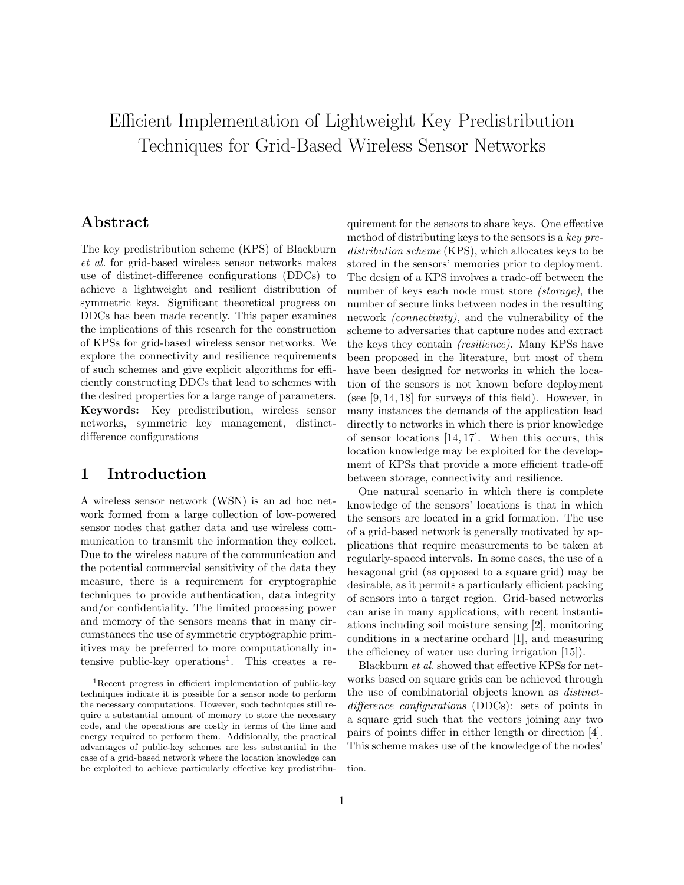# Efficient Implementation of Lightweight Key Predistribution Techniques for Grid-Based Wireless Sensor Networks

## Abstract

The key predistribution scheme (KPS) of Blackburn et al. for grid-based wireless sensor networks makes use of distinct-difference configurations (DDCs) to achieve a lightweight and resilient distribution of symmetric keys. Significant theoretical progress on DDCs has been made recently. This paper examines the implications of this research for the construction of KPSs for grid-based wireless sensor networks. We explore the connectivity and resilience requirements of such schemes and give explicit algorithms for efficiently constructing DDCs that lead to schemes with the desired properties for a large range of parameters. Keywords: Key predistribution, wireless sensor networks, symmetric key management, distinctdifference configurations

## 1 Introduction

A wireless sensor network (WSN) is an ad hoc network formed from a large collection of low-powered sensor nodes that gather data and use wireless communication to transmit the information they collect. Due to the wireless nature of the communication and the potential commercial sensitivity of the data they measure, there is a requirement for cryptographic techniques to provide authentication, data integrity and/or confidentiality. The limited processing power and memory of the sensors means that in many circumstances the use of symmetric cryptographic primitives may be preferred to more computationally intensive public-key operations<sup>1</sup>. This creates a requirement for the sensors to share keys. One effective method of distributing keys to the sensors is a key predistribution scheme (KPS), which allocates keys to be stored in the sensors' memories prior to deployment. The design of a KPS involves a trade-off between the number of keys each node must store (storage), the number of secure links between nodes in the resulting network (connectivity), and the vulnerability of the scheme to adversaries that capture nodes and extract the keys they contain (resilience). Many KPSs have been proposed in the literature, but most of them have been designed for networks in which the location of the sensors is not known before deployment (see [9, 14, 18] for surveys of this field). However, in many instances the demands of the application lead directly to networks in which there is prior knowledge of sensor locations [14, 17]. When this occurs, this location knowledge may be exploited for the development of KPSs that provide a more efficient trade-off between storage, connectivity and resilience.

One natural scenario in which there is complete knowledge of the sensors' locations is that in which the sensors are located in a grid formation. The use of a grid-based network is generally motivated by applications that require measurements to be taken at regularly-spaced intervals. In some cases, the use of a hexagonal grid (as opposed to a square grid) may be desirable, as it permits a particularly efficient packing of sensors into a target region. Grid-based networks can arise in many applications, with recent instantiations including soil moisture sensing [2], monitoring conditions in a nectarine orchard [1], and measuring the efficiency of water use during irrigation [15]).

Blackburn et al. showed that effective KPSs for networks based on square grids can be achieved through the use of combinatorial objects known as distinctdifference configurations (DDCs): sets of points in a square grid such that the vectors joining any two pairs of points differ in either length or direction [4]. This scheme makes use of the knowledge of the nodes'

<sup>1</sup>Recent progress in efficient implementation of public-key techniques indicate it is possible for a sensor node to perform the necessary computations. However, such techniques still require a substantial amount of memory to store the necessary code, and the operations are costly in terms of the time and energy required to perform them. Additionally, the practical advantages of public-key schemes are less substantial in the case of a grid-based network where the location knowledge can be exploited to achieve particularly effective key predistribu-

tion.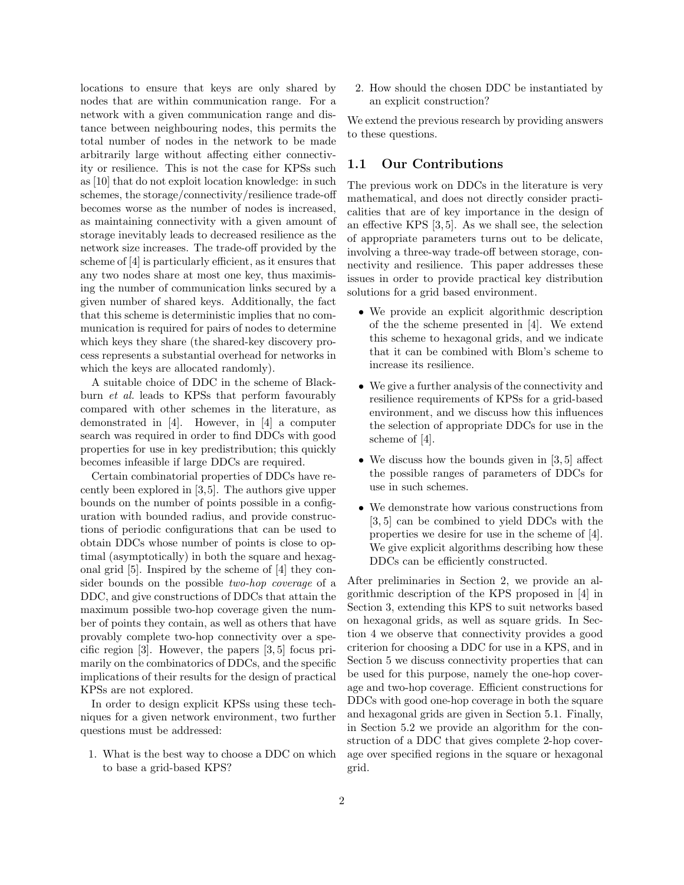locations to ensure that keys are only shared by nodes that are within communication range. For a network with a given communication range and distance between neighbouring nodes, this permits the total number of nodes in the network to be made arbitrarily large without affecting either connectivity or resilience. This is not the case for KPSs such as [10] that do not exploit location knowledge: in such schemes, the storage/connectivity/resilience trade-off becomes worse as the number of nodes is increased, as maintaining connectivity with a given amount of storage inevitably leads to decreased resilience as the network size increases. The trade-off provided by the scheme of [4] is particularly efficient, as it ensures that any two nodes share at most one key, thus maximising the number of communication links secured by a given number of shared keys. Additionally, the fact that this scheme is deterministic implies that no communication is required for pairs of nodes to determine which keys they share (the shared-key discovery process represents a substantial overhead for networks in which the keys are allocated randomly).

A suitable choice of DDC in the scheme of Blackburn et al. leads to KPSs that perform favourably compared with other schemes in the literature, as demonstrated in [4]. However, in [4] a computer search was required in order to find DDCs with good properties for use in key predistribution; this quickly becomes infeasible if large DDCs are required.

Certain combinatorial properties of DDCs have recently been explored in [3,5]. The authors give upper bounds on the number of points possible in a configuration with bounded radius, and provide constructions of periodic configurations that can be used to obtain DDCs whose number of points is close to optimal (asymptotically) in both the square and hexagonal grid [5]. Inspired by the scheme of [4] they consider bounds on the possible two-hop coverage of a DDC, and give constructions of DDCs that attain the maximum possible two-hop coverage given the number of points they contain, as well as others that have provably complete two-hop connectivity over a specific region [3]. However, the papers [3, 5] focus primarily on the combinatorics of DDCs, and the specific implications of their results for the design of practical KPSs are not explored.

In order to design explicit KPSs using these techniques for a given network environment, two further questions must be addressed:

1. What is the best way to choose a DDC on which to base a grid-based KPS?

2. How should the chosen DDC be instantiated by an explicit construction?

We extend the previous research by providing answers to these questions.

#### 1.1 Our Contributions

The previous work on DDCs in the literature is very mathematical, and does not directly consider practicalities that are of key importance in the design of an effective KPS [3, 5]. As we shall see, the selection of appropriate parameters turns out to be delicate, involving a three-way trade-off between storage, connectivity and resilience. This paper addresses these issues in order to provide practical key distribution solutions for a grid based environment.

- We provide an explicit algorithmic description of the the scheme presented in [4]. We extend this scheme to hexagonal grids, and we indicate that it can be combined with Blom's scheme to increase its resilience.
- We give a further analysis of the connectivity and resilience requirements of KPSs for a grid-based environment, and we discuss how this influences the selection of appropriate DDCs for use in the scheme of [4].
- We discuss how the bounds given in [3, 5] affect the possible ranges of parameters of DDCs for use in such schemes.
- We demonstrate how various constructions from [3, 5] can be combined to yield DDCs with the properties we desire for use in the scheme of [4]. We give explicit algorithms describing how these DDCs can be efficiently constructed.

After preliminaries in Section 2, we provide an algorithmic description of the KPS proposed in [4] in Section 3, extending this KPS to suit networks based on hexagonal grids, as well as square grids. In Section 4 we observe that connectivity provides a good criterion for choosing a DDC for use in a KPS, and in Section 5 we discuss connectivity properties that can be used for this purpose, namely the one-hop coverage and two-hop coverage. Efficient constructions for DDCs with good one-hop coverage in both the square and hexagonal grids are given in Section 5.1. Finally, in Section 5.2 we provide an algorithm for the construction of a DDC that gives complete 2-hop coverage over specified regions in the square or hexagonal grid.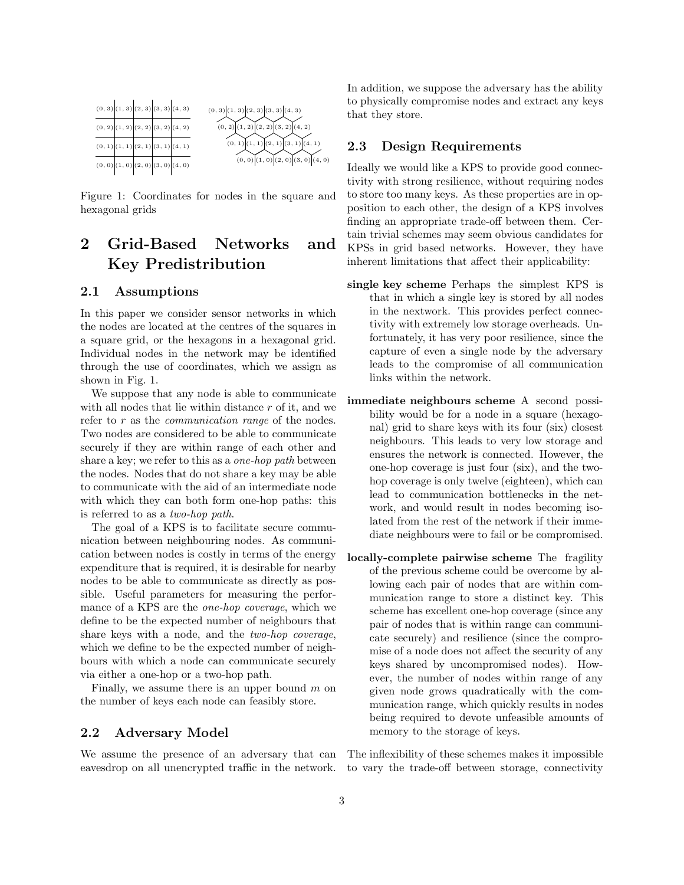

Figure 1: Coordinates for nodes in the square and hexagonal grids

# 2 Grid-Based Networks and Key Predistribution

#### 2.1 Assumptions

In this paper we consider sensor networks in which the nodes are located at the centres of the squares in a square grid, or the hexagons in a hexagonal grid. Individual nodes in the network may be identified through the use of coordinates, which we assign as shown in Fig. 1.

We suppose that any node is able to communicate with all nodes that lie within distance  $r$  of it, and we refer to r as the *communication range* of the nodes. Two nodes are considered to be able to communicate securely if they are within range of each other and share a key; we refer to this as a one-hop path between the nodes. Nodes that do not share a key may be able to communicate with the aid of an intermediate node with which they can both form one-hop paths: this is referred to as a two-hop path.

The goal of a KPS is to facilitate secure communication between neighbouring nodes. As communication between nodes is costly in terms of the energy expenditure that is required, it is desirable for nearby nodes to be able to communicate as directly as possible. Useful parameters for measuring the performance of a KPS are the one-hop coverage, which we define to be the expected number of neighbours that share keys with a node, and the two-hop coverage, which we define to be the expected number of neighbours with which a node can communicate securely via either a one-hop or a two-hop path.

Finally, we assume there is an upper bound  $m$  on the number of keys each node can feasibly store.

#### 2.2 Adversary Model

In addition, we suppose the adversary has the ability to physically compromise nodes and extract any keys that they store.

#### 2.3 Design Requirements

Ideally we would like a KPS to provide good connectivity with strong resilience, without requiring nodes to store too many keys. As these properties are in opposition to each other, the design of a KPS involves finding an appropriate trade-off between them. Certain trivial schemes may seem obvious candidates for KPSs in grid based networks. However, they have inherent limitations that affect their applicability:

- single key scheme Perhaps the simplest KPS is that in which a single key is stored by all nodes in the nextwork. This provides perfect connectivity with extremely low storage overheads. Unfortunately, it has very poor resilience, since the capture of even a single node by the adversary leads to the compromise of all communication links within the network.
- immediate neighbours scheme A second possibility would be for a node in a square (hexagonal) grid to share keys with its four (six) closest neighbours. This leads to very low storage and ensures the network is connected. However, the one-hop coverage is just four (six), and the twohop coverage is only twelve (eighteen), which can lead to communication bottlenecks in the network, and would result in nodes becoming isolated from the rest of the network if their immediate neighbours were to fail or be compromised.
- locally-complete pairwise scheme The fragility of the previous scheme could be overcome by allowing each pair of nodes that are within communication range to store a distinct key. This scheme has excellent one-hop coverage (since any pair of nodes that is within range can communicate securely) and resilience (since the compromise of a node does not affect the security of any keys shared by uncompromised nodes). However, the number of nodes within range of any given node grows quadratically with the communication range, which quickly results in nodes being required to devote unfeasible amounts of memory to the storage of keys.

We assume the presence of an adversary that can The inflexibility of these schemes makes it impossible eavesdrop on all unencrypted traffic in the network. to vary the trade-off between storage, connectivity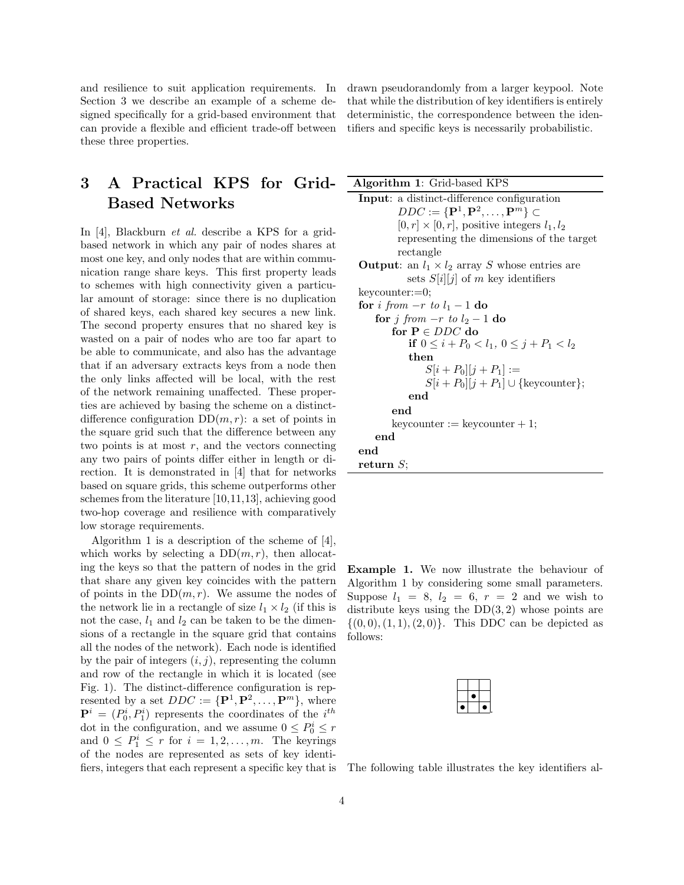and resilience to suit application requirements. In Section 3 we describe an example of a scheme designed specifically for a grid-based environment that can provide a flexible and efficient trade-off between these three properties.

# 3 A Practical KPS for Grid-Based Networks

In [4], Blackburn et al. describe a KPS for a gridbased network in which any pair of nodes shares at most one key, and only nodes that are within communication range share keys. This first property leads to schemes with high connectivity given a particular amount of storage: since there is no duplication of shared keys, each shared key secures a new link. The second property ensures that no shared key is wasted on a pair of nodes who are too far apart to be able to communicate, and also has the advantage that if an adversary extracts keys from a node then the only links affected will be local, with the rest of the network remaining unaffected. These properties are achieved by basing the scheme on a distinctdifference configuration  $DD(m, r)$ : a set of points in the square grid such that the difference between any two points is at most  $r$ , and the vectors connecting any two pairs of points differ either in length or direction. It is demonstrated in [4] that for networks based on square grids, this scheme outperforms other schemes from the literature [10,11,13], achieving good two-hop coverage and resilience with comparatively low storage requirements.

Algorithm 1 is a description of the scheme of [4], which works by selecting a  $DD(m, r)$ , then allocating the keys so that the pattern of nodes in the grid that share any given key coincides with the pattern of points in the  $DD(m, r)$ . We assume the nodes of the network lie in a rectangle of size  $l_1 \times l_2$  (if this is not the case,  $l_1$  and  $l_2$  can be taken to be the dimensions of a rectangle in the square grid that contains all the nodes of the network). Each node is identified by the pair of integers  $(i, j)$ , representing the column and row of the rectangle in which it is located (see Fig. 1). The distinct-difference configuration is represented by a set  $DDC := {\bf{P}}^1, {\bf{P}}^2, \ldots, {\bf{P}}^m$ , where  $\mathbf{P}^i = (P_0^i, P_1^i)$  represents the coordinates of the  $i^{th}$ dot in the configuration, and we assume  $0 \le P_0^i \le r$ and  $0 \leq P_1^i \leq r$  for  $i = 1, 2, ..., m$ . The keyrings of the nodes are represented as sets of key identifiers, integers that each represent a specific key that is drawn pseudorandomly from a larger keypool. Note that while the distribution of key identifiers is entirely deterministic, the correspondence between the identifiers and specific keys is necessarily probabilistic.

Algorithm 1: Grid-based KPS Input: a distinct-difference configuration  $DDC \vcentcolon= \{\mathbf{P}^1, \mathbf{P}^2, \dots, \mathbf{P}^m\} \subset$  $[0, r] \times [0, r]$ , positive integers  $l_1, l_2$ representing the dimensions of the target rectangle **Output:** an  $l_1 \times l_2$  array S whose entries are sets  $S[i][j]$  of m key identifiers keycounter:=0; for *i* from  $-r$  to  $l_1 - 1$  do for j from  $-r$  to  $l_2-1$  do for  $\mathbf{P} \in DDC$ do if  $0 \leq i + P_0 < l_1, 0 \leq j + P_1 < l_2$ then  $S[i + P_0][j + P_1] :=$  $S[i + P_0][j + P_1] \cup \{\text{keycounter}\};$ end end  $keycounter := keyword + 1;$ end end return S;

Example 1. We now illustrate the behaviour of Algorithm 1 by considering some small parameters. Suppose  $l_1 = 8$ ,  $l_2 = 6$ ,  $r = 2$  and we wish to distribute keys using the  $DD(3, 2)$  whose points are  $\{(0,0),(1,1),(2,0)\}.$  This DDC can be depicted as follows:

The following table illustrates the key identifiers al-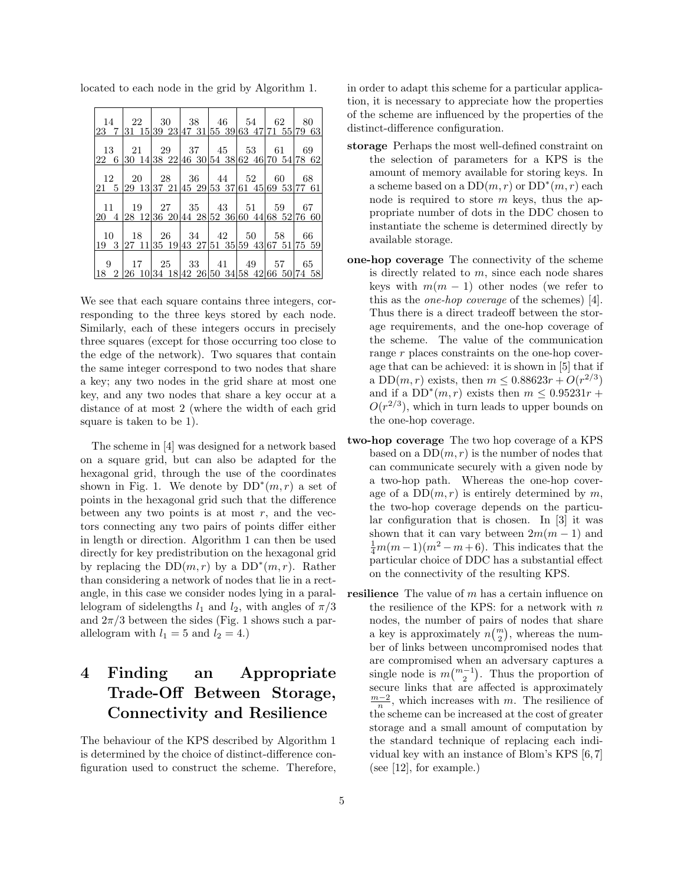| 14         | 22 |  | $30 \mid 38 \mid 46 \mid 54 \mid$                    | 62 | -80 |
|------------|----|--|------------------------------------------------------|----|-----|
|            |    |  | 23 7 31 15 39 23 47 31 55 39 63 47 71 55 79 63       |    |     |
|            |    |  |                                                      |    |     |
| 13         | 21 |  |                                                      |    | -69 |
|            |    |  | 22 6 30 14 38 22 46 30 54 38 62 46 70 54 78 62       |    |     |
|            |    |  |                                                      |    |     |
| 12         | 20 |  |                                                      | 60 | 68  |
|            |    |  | 21 5 29 13 37 21 45 29 53 37 61 45 69 53 77 61       |    |     |
|            |    |  |                                                      |    |     |
| $11 \perp$ |    |  | $19 \mid 27 \mid 35 \mid 43 \mid 51 \mid 59$         |    | 67  |
|            |    |  | 20 4 28 12 36 20 44 28 52 36 60 44 68 52 76 60       |    |     |
|            |    |  |                                                      |    |     |
|            |    |  | $10 \mid 18 \mid 26 \mid 34 \mid 42 \mid 50 \mid 58$ |    | 66  |
|            |    |  | 19 3 27 11 35 19 43 27 51 35 59 43 67 51 75 59       |    |     |
|            |    |  |                                                      |    |     |
| 9          |    |  | 17   25   33   41   49   57                          |    | 65  |
|            |    |  | 18 2 26 10 34 18 42 26 50 34 58 42 66 50 74 58       |    |     |

located to each node in the grid by Algorithm 1.

We see that each square contains three integers, corresponding to the three keys stored by each node. Similarly, each of these integers occurs in precisely three squares (except for those occurring too close to the edge of the network). Two squares that contain the same integer correspond to two nodes that share a key; any two nodes in the grid share at most one key, and any two nodes that share a key occur at a distance of at most 2 (where the width of each grid square is taken to be 1).

The scheme in [4] was designed for a network based on a square grid, but can also be adapted for the hexagonal grid, through the use of the coordinates shown in Fig. 1. We denote by  $DD^*(m,r)$  a set of points in the hexagonal grid such that the difference between any two points is at most  $r$ , and the vectors connecting any two pairs of points differ either in length or direction. Algorithm 1 can then be used directly for key predistribution on the hexagonal grid by replacing the  $DD(m,r)$  by a  $DD^*(m,r)$ . Rather than considering a network of nodes that lie in a rectangle, in this case we consider nodes lying in a parallelogram of sidelengths  $l_1$  and  $l_2$ , with angles of  $\pi/3$ and  $2\pi/3$  between the sides (Fig. 1 shows such a parallelogram with  $l_1 = 5$  and  $l_2 = 4$ .

# 4 Finding an Appropriate Trade-Off Between Storage, Connectivity and Resilience

The behaviour of the KPS described by Algorithm 1 is determined by the choice of distinct-difference configuration used to construct the scheme. Therefore, in order to adapt this scheme for a particular application, it is necessary to appreciate how the properties of the scheme are influenced by the properties of the distinct-difference configuration.

- storage Perhaps the most well-defined constraint on the selection of parameters for a KPS is the amount of memory available for storing keys. In a scheme based on a  $DD(m,r)$  or  $DD^*(m,r)$  each node is required to store  $m$  keys, thus the appropriate number of dots in the DDC chosen to instantiate the scheme is determined directly by available storage.
- one-hop coverage The connectivity of the scheme is directly related to  $m$ , since each node shares keys with  $m(m - 1)$  other nodes (we refer to this as the one-hop coverage of the schemes) [4]. Thus there is a direct tradeoff between the storage requirements, and the one-hop coverage of the scheme. The value of the communication range r places constraints on the one-hop coverage that can be achieved: it is shown in [5] that if a DD $(m, r)$  exists, then  $m \leq 0.88623r + O(r^{2/3})$ and if a  $DD^*(m,r)$  exists then  $m \leq 0.95231r +$  $O(r^{2/3})$ , which in turn leads to upper bounds on the one-hop coverage.
- two-hop coverage The two hop coverage of a KPS based on a  $DD(m, r)$  is the number of nodes that can communicate securely with a given node by a two-hop path. Whereas the one-hop coverage of a  $DD(m, r)$  is entirely determined by m, the two-hop coverage depends on the particular configuration that is chosen. In [3] it was shown that it can vary between  $2m(m-1)$  and  $\frac{1}{4}m(m-1)(m^2-m+6)$ . This indicates that the particular choice of DDC has a substantial effect on the connectivity of the resulting KPS.
- **resilience** The value of  $m$  has a certain influence on the resilience of the KPS: for a network with  $n$ nodes, the number of pairs of nodes that share a key is approximately  $n\binom{m}{2}$ , whereas the number of links between uncompromised nodes that are compromised when an adversary captures a single node is  $m\binom{m-1}{2}$ . Thus the proportion of secure links that are affected is approximately  $\frac{m-2}{n}$ , which increases with m. The resilience of the scheme can be increased at the cost of greater storage and a small amount of computation by the standard technique of replacing each individual key with an instance of Blom's KPS [6, 7] (see [12], for example.)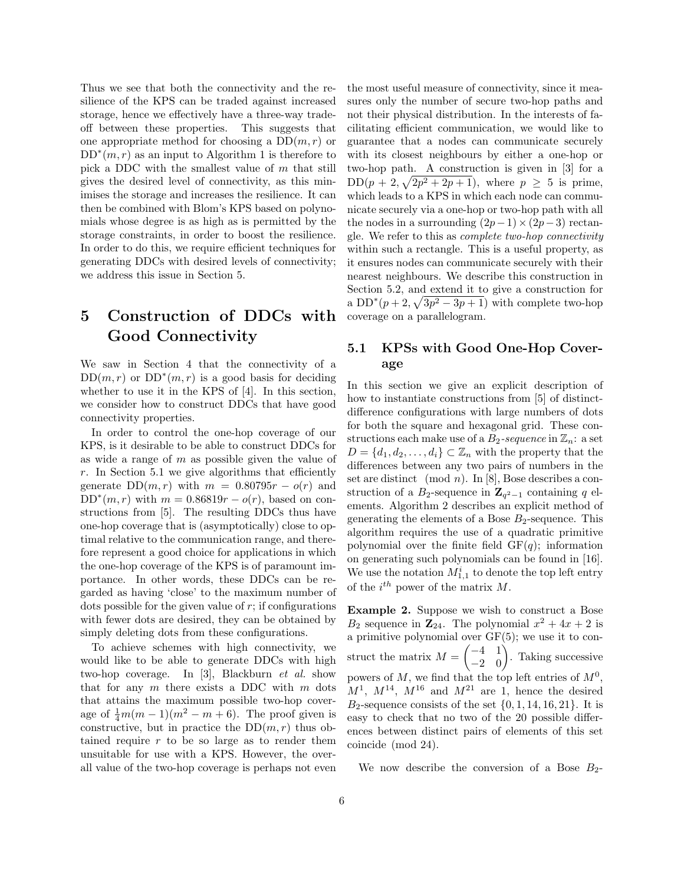Thus we see that both the connectivity and the resilience of the KPS can be traded against increased storage, hence we effectively have a three-way tradeoff between these properties. This suggests that one appropriate method for choosing a  $DD(m, r)$  or  $DD<sup>*</sup>(m,r)$  as an input to Algorithm 1 is therefore to pick a DDC with the smallest value of m that still gives the desired level of connectivity, as this minimises the storage and increases the resilience. It can then be combined with Blom's KPS based on polynomials whose degree is as high as is permitted by the storage constraints, in order to boost the resilience. In order to do this, we require efficient techniques for generating DDCs with desired levels of connectivity; we address this issue in Section 5.

# 5 Construction of DDCs with Good Connectivity

We saw in Section 4 that the connectivity of a  $DD(m, r)$  or  $DD^*(m, r)$  is a good basis for deciding whether to use it in the KPS of [4]. In this section, we consider how to construct DDCs that have good connectivity properties.

In order to control the one-hop coverage of our KPS, is it desirable to be able to construct DDCs for as wide a range of  $m$  as possible given the value of  $r$ . In Section 5.1 we give algorithms that efficiently generate  $DD(m,r)$  with  $m = 0.80795r - o(r)$  and  $DD^*(m,r)$  with  $m = 0.86819r - o(r)$ , based on constructions from [5]. The resulting DDCs thus have one-hop coverage that is (asymptotically) close to optimal relative to the communication range, and therefore represent a good choice for applications in which the one-hop coverage of the KPS is of paramount importance. In other words, these DDCs can be regarded as having 'close' to the maximum number of dots possible for the given value of  $r$ ; if configurations with fewer dots are desired, they can be obtained by simply deleting dots from these configurations.

To achieve schemes with high connectivity, we would like to be able to generate DDCs with high two-hop coverage. In [3], Blackburn et al. show that for any  $m$  there exists a DDC with  $m$  dots that attains the maximum possible two-hop coverage of  $\frac{1}{4}m(m-1)(m^2 - m + 6)$ . The proof given is constructive, but in practice the  $DD(m,r)$  thus obtained require  $r$  to be so large as to render them unsuitable for use with a KPS. However, the overall value of the two-hop coverage is perhaps not even

the most useful measure of connectivity, since it measures only the number of secure two-hop paths and not their physical distribution. In the interests of facilitating efficient communication, we would like to guarantee that a nodes can communicate securely with its closest neighbours by either a one-hop or two-hop path. A construction is given in [3] for a  $DD(p+2,\sqrt{2p^2+2p+1})$ , where  $p \geq 5$  is prime, which leads to a KPS in which each node can communicate securely via a one-hop or two-hop path with all the nodes in a surrounding  $(2p-1)\times(2p-3)$  rectangle. We refer to this as complete two-hop connectivity within such a rectangle. This is a useful property, as it ensures nodes can communicate securely with their nearest neighbours. We describe this construction in Section 5.2, and extend it to give a construction for a  $DD^*(p+2, \sqrt{3p^2-3p+1})$  with complete two-hop coverage on a parallelogram.

### 5.1 KPSs with Good One-Hop Coverage

In this section we give an explicit description of how to instantiate constructions from [5] of distinctdifference configurations with large numbers of dots for both the square and hexagonal grid. These constructions each make use of a  $B_2$ -sequence in  $\mathbb{Z}_n$ : a set  $D = \{d_1, d_2, \ldots, d_i\} \subset \mathbb{Z}_n$  with the property that the differences between any two pairs of numbers in the set are distinct (mod *n*). In [8], Bose describes a construction of a  $B_2$ -sequence in  $\mathbb{Z}_{q^2-1}$  containing q elements. Algorithm 2 describes an explicit method of generating the elements of a Bose  $B_2$ -sequence. This algorithm requires the use of a quadratic primitive polynomial over the finite field  $GF(q)$ ; information on generating such polynomials can be found in [16]. We use the notation  $M_{1,1}^i$  to denote the top left entry of the  $i^{th}$  power of the matrix M.

Example 2. Suppose we wish to construct a Bose  $B_2$  sequence in  $\mathbb{Z}_{24}$ . The polynomial  $x^2 + 4x + 2$  is a primitive polynomial over GF(5); we use it to construct the matrix  $M = \begin{pmatrix} -4 & 1 \\ -2 & 0 \end{pmatrix}$ . Taking successive powers of  $M$ , we find that the top left entries of  $M^0$ ,  $M^1$ ,  $M^{14}$ ,  $M^{16}$  and  $M^{21}$  are 1, hence the desired  $B_2$ -sequence consists of the set  $\{0, 1, 14, 16, 21\}$ . It is easy to check that no two of the 20 possible differences between distinct pairs of elements of this set coincide (mod 24).

We now describe the conversion of a Bose  $B_2$ -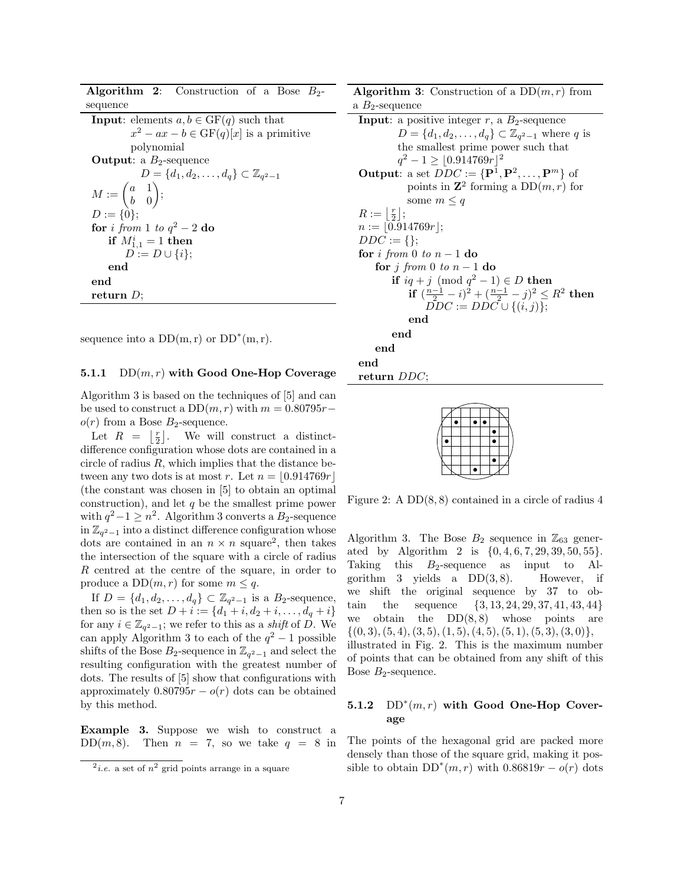**Algorithm 2:** Construction of a Bose  $B_2$ sequence

| <b>Input:</b> elements $a, b \in \text{GF}(q)$ such that   |
|------------------------------------------------------------|
| $x^2 - ax - b \in GF(q)[x]$ is a primitive                 |
| polynomial                                                 |
| <b>Output:</b> a $B_2$ -sequence                           |
| $D = \{d_1, d_2, \ldots, d_q\} \subset \mathbb{Z}_{q^2-1}$ |
| $M:=\begin{pmatrix} a & 1 \\ b & 0 \end{pmatrix};$         |
|                                                            |
| $D := \{0\};$                                              |
| for <i>i</i> from 1 to $q^2-2$ do                          |
| if $M_{1,1}^i = 1$ then                                    |
| $D := D \cup \{i\};$                                       |
| end                                                        |
| end                                                        |
| return $D$ :                                               |

sequence into a  $DD(m,r)$  or  $DD^*(m,r)$ .

#### 5.1.1  $DD(m,r)$  with Good One-Hop Coverage

Algorithm 3 is based on the techniques of [5] and can be used to construct a  $DD(m, r)$  with  $m = 0.80795r$  $o(r)$  from a Bose  $B_2$ -sequence.

Let  $R = \lfloor \frac{r}{2} \rfloor$ . We will construct a distinctdifference configuration whose dots are contained in a circle of radius  $R$ , which implies that the distance between any two dots is at most r. Let  $n = |0.914769r|$ (the constant was chosen in [5] to obtain an optimal construction), and let  $q$  be the smallest prime power with  $q^2-1 \geq n^2$ . Algorithm 3 converts a  $B_2$ -sequence in  $\mathbb{Z}_{q^2-1}$  into a distinct difference configuration whose dots are contained in an  $n \times n$  square<sup>2</sup>, then takes the intersection of the square with a circle of radius R centred at the centre of the square, in order to produce a  $DD(m, r)$  for some  $m \leq q$ .

If  $D = \{d_1, d_2, \ldots, d_q\} \subset \mathbb{Z}_{q^2-1}$  is a  $B_2$ -sequence, then so is the set  $D + i := \{d_1 + i, d_2 + i, \ldots, d_q + i\}$ for any  $i \in \mathbb{Z}_{q^2-1}$ ; we refer to this as a *shift* of  $\hat{D}$ . We can apply Algorithm 3 to each of the  $q^2-1$  possible shifts of the Bose  $B_2$ -sequence in  $\mathbb{Z}_{q^2-1}$  and select the resulting configuration with the greatest number of dots. The results of [5] show that configurations with approximately  $0.80795r - o(r)$  dots can be obtained by this method.

Example 3. Suppose we wish to construct a DD(m, 8). Then  $n = 7$ , so we take  $q = 8$  in **Algorithm 3:** Construction of a  $DD(m, r)$  from a  $B_2$ -sequence

**Input**: a positive integer  $r$ , a  $B_2$ -sequence  $D = \{d_1, d_2, ..., d_q\} \subset \mathbb{Z}_{q^2-1}$  where q is the smallest prime power such that  $q^2 - 1 \ge |0.914769r|^2$ **Output:** a set  $DDC := {\mathbf{P}^1, \mathbf{P}^2, ..., \mathbf{P}^m}$  of points in  $\mathbb{Z}^2$  forming a  $DD(m, r)$  for some  $m \leq q$  $R := \left\lfloor \frac{r}{2} \right\rfloor;$  $n := |0.914769r|;$  $DDC := \{\};$ for i from 0 to  $n-1$  do for j from 0 to  $n-1$  do if  $iq + j \pmod{q^2 - 1} \in D$  then if  $\left(\frac{n-1}{2}, -i\right)^2 + \left(\frac{n-1}{2}, -i\right)^2 \leq R^2$  then  $\overline{DDC} := D\overline{DC} \cup \{(i,j)\};$ end end end end return DDC;

Figure 2: A DD(8, 8) contained in a circle of radius 4

Algorithm 3. The Bose  $B_2$  sequence in  $\mathbb{Z}_{63}$  generated by Algorithm 2 is  $\{0, 4, 6, 7, 29, 39, 50, 55\}.$ Taking this  $B_2$ -sequence as input to Algorithm 3 yields a  $DD(3, 8)$ . However, if we shift the original sequence by 37 to obtain the sequence {3, 13, 24, 29, 37, 41, 43, 44} we obtain the  $DD(8,8)$  whose points are  $\{(0, 3), (5, 4), (3, 5), (1, 5), (4, 5), (5, 1), (5, 3), (3, 0)\},\$ illustrated in Fig. 2. This is the maximum number of points that can be obtained from any shift of this Bose  $B_2$ -sequence.

### 5.1.2  $DD^*(m,r)$  with Good One-Hop Coverage

The points of the hexagonal grid are packed more densely than those of the square grid, making it possible to obtain  $DD^*(m,r)$  with  $0.86819r - o(r)$  dots

 $2i.e.$  a set of  $n^2$  grid points arrange in a square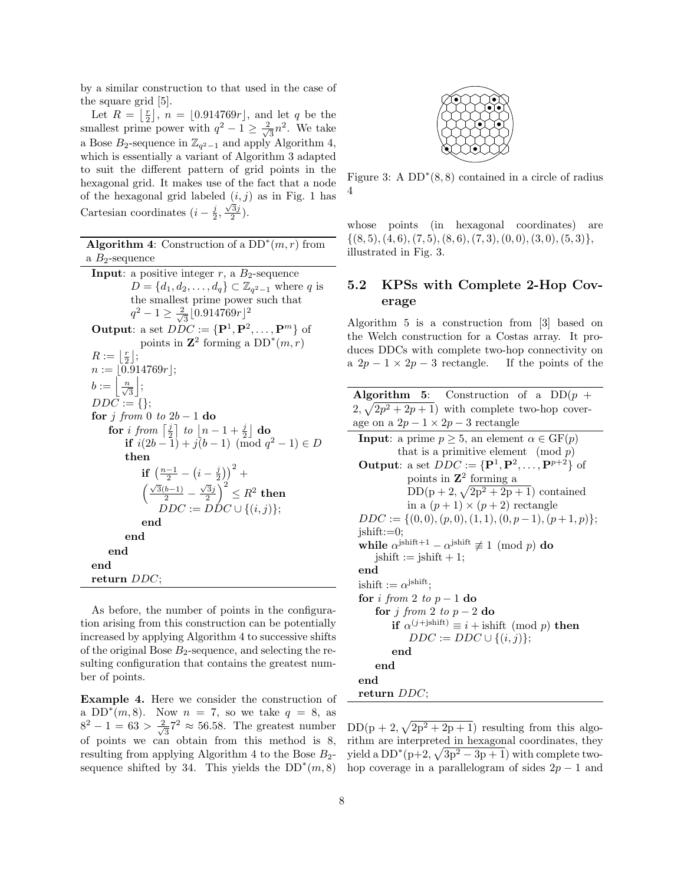by a similar construction to that used in the case of the square grid [5].

Let  $R = \lfloor \frac{r}{2} \rfloor$ ,  $n = \lfloor 0.914769r \rfloor$ , and let q be the smallest prime power with  $q^2 - 1 \geq \frac{2}{\sqrt{2}}$  $\frac{1}{3}n^2$ . We take a Bose  $B_2$ -sequence in  $\mathbb{Z}_{q^2-1}$  and apply Algorithm 4, which is essentially a variant of Algorithm 3 adapted to suit the different pattern of grid points in the hexagonal grid. It makes use of the fact that a node of the hexagonal grid labeled  $(i, j)$  as in Fig. 1 has Cartesian coordinates  $(i - \frac{j}{2}, \frac{\sqrt{3}j}{2})$ .

Algorithm 4: Construction of a  $DD^*(m,r)$  from a  $B_2$ -sequence

**Input:** a positive integer  $r$ , a  $B_2$ -sequence  $D = \{d_1, d_2, \ldots, d_q\} \subset \mathbb{Z}_{q^2-1}$  where q is the smallest prime power such that  $q^2 - 1 \geq \frac{2}{\sqrt{2}}$  $\frac{1}{3}$ [0.914769 $r$ ]<sup>2</sup> **Output:** a set  $DDC := {\mathbf{P}^1, \mathbf{P}^2, ..., \mathbf{P}^m}$  of points in  $\mathbb{Z}^2$  forming a  $DD^*(m,r)$  $R := \left\lfloor \frac{r}{2} \right\rfloor;$  $n := \lfloor 0.914769r \rfloor;$  $b := \left\lfloor \frac{n}{\sqrt{3}} \right\rfloor;$  $DD\bar{C} := \{ \};$ for j from 0 to  $2b-1$  do  $\textbf{for} \,\, i \,\, from \,\, \left\lceil \frac{j}{2} \right\rceil \,\, to \,\, \left\lfloor n-1+\frac{j}{2} \right\rfloor \,\, \textbf{do}$ **if**  $i(2b-1) + j(b-1) \pmod{q^2-1} \in D$ then if  $\left(\frac{n-1}{2} - \left(i-\frac{j}{2}\right)\right)^2 +$  $\left(\frac{\sqrt{3}(b-1)}{2} - \frac{\sqrt{3}j}{2}\right)^2 \leq R^2$  then  $DDC := D\dot{D}C \cup \{(i,j)\};$ end end end end return DDC;

As before, the number of points in the configuration arising from this construction can be potentially increased by applying Algorithm 4 to successive shifts of the original Bose  $B_2$ -sequence, and selecting the resulting configuration that contains the greatest number of points.

Example 4. Here we consider the construction of a  $DD^*(m, 8)$ . Now  $n = 7$ , so we take  $q = 8$ , as  $8^2 - 1 = 63 > \frac{2}{7}$  $\frac{1}{3}$ <sup>7</sup>  $\approx$  56.58. The greatest number of points we can obtain from this method is 8, resulting from applying Algorithm 4 to the Bose  $B_2$ sequence shifted by 34. This yields the  $DD^*(m, 8)$ 



Figure 3: A  $DD^*(8,8)$  contained in a circle of radius 4

whose points (in hexagonal coordinates) are  $\{(8,5), (4,6), (7,5), (8,6), (7,3), (0,0), (3,0), (5,3)\},\$ illustrated in Fig. 3.

### 5.2 KPSs with Complete 2-Hop Coverage

Algorithm 5 is a construction from [3] based on the Welch construction for a Costas array. It produces DDCs with complete two-hop connectivity on a  $2p - 1 \times 2p - 3$  rectangle. If the points of the

| <b>Algorithm 5:</b> Construction of a $DD(p +$                                    |
|-----------------------------------------------------------------------------------|
| $2, \sqrt{2p^2+2p+1}$ with complete two-hop cover-                                |
| age on a $2p-1 \times 2p-3$ rectangle                                             |
| <b>Input:</b> a prime $p \geq 5$ , an element $\alpha \in \text{GF}(p)$           |
| that is a primitive element (mod $p$ )                                            |
| <b>Output:</b> a set $DDC := {\mathbf{P}^1, \mathbf{P}^2, , \mathbf{P}^{p+2}}$ of |
| points in $\mathbb{Z}^2$ forming a                                                |
| $DD(p+2, \sqrt{2p^2+2p+1})$ contained                                             |
| in a $(p+1) \times (p+2)$ rectangle                                               |
| $DDC := \{(0,0), (p,0), (1,1), (0, p-1), (p+1,p)\};$                              |
| $\text{ishift} := 0;$                                                             |
| while $\alpha^{jshift+1} - \alpha^{jshift} \not\equiv 1 \pmod{p}$ do              |
| $jshift := jshift + 1;$                                                           |
| end                                                                               |
| ishift $:= \alpha^{jshift}$ ;                                                     |
| for i from 2 to $p-1$ do                                                          |
| for j from 2 to $p-2$ do                                                          |
| <b>if</b> $\alpha^{(j + \text{ishift})} \equiv i + \text{ishift} \pmod{p}$ then   |
| $DDC := DDC \cup \{(i,j)\};$                                                      |
| end                                                                               |
| end                                                                               |
| end                                                                               |
| return $DDC$ ;                                                                    |

 $DD(p+2, \sqrt{2p^2+2p+1})$  resulting from this algorithm are interpreted in hexagonal coordinates, they yield a  $DD^*(p+2, \sqrt{3p^2-3p+1})$  with complete twohop coverage in a parallelogram of sides  $2p - 1$  and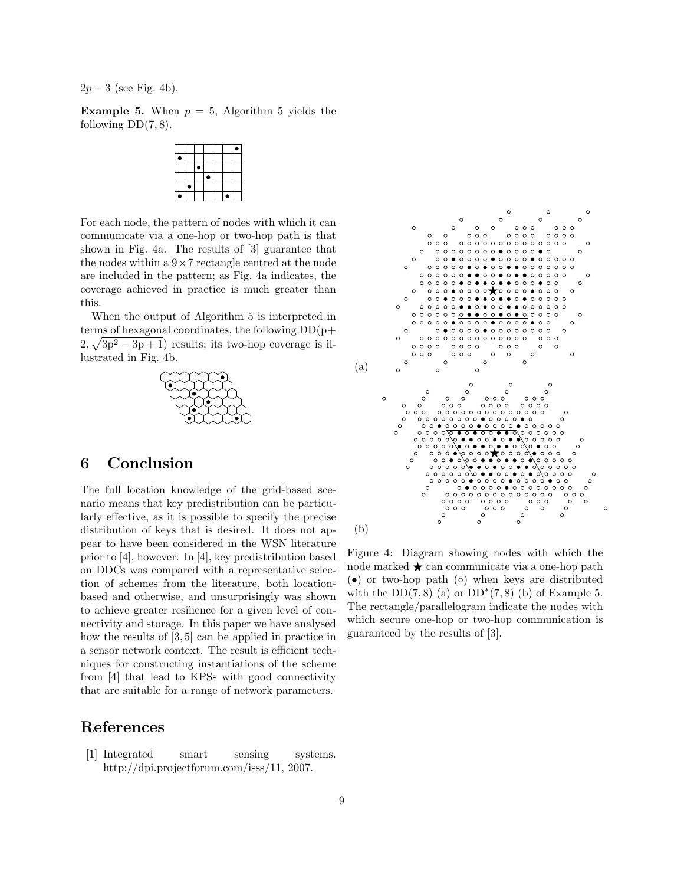$2p-3$  (see Fig. 4b).

**Example 5.** When  $p = 5$ , Algorithm 5 yields the following  $DD(7, 8)$ .

|  | ٠ |  |  |
|--|---|--|--|
|  |   |  |  |
|  |   |  |  |
|  |   |  |  |

For each node, the pattern of nodes with which it can communicate via a one-hop or two-hop path is that shown in Fig. 4a. The results of [3] guarantee that the nodes within a  $9 \times 7$  rectangle centred at the node are included in the pattern; as Fig. 4a indicates, the coverage achieved in practice is much greater than this.

When the output of Algorithm 5 is interpreted in terms of hexagonal coordinates, the following  $DD(p+$  $2, \sqrt{3p^2 - 3p + 1}$  results; its two-hop coverage is illustrated in Fig. 4b.



## 6 Conclusion

The full location knowledge of the grid-based scenario means that key predistribution can be particularly effective, as it is possible to specify the precise distribution of keys that is desired. It does not appear to have been considered in the WSN literature prior to [4], however. In [4], key predistribution based on DDCs was compared with a representative selection of schemes from the literature, both locationbased and otherwise, and unsurprisingly was shown to achieve greater resilience for a given level of connectivity and storage. In this paper we have analysed how the results of [3, 5] can be applied in practice in a sensor network context. The result is efficient techniques for constructing instantiations of the scheme from [4] that lead to KPSs with good connectivity that are suitable for a range of network parameters.

## References

[1] Integrated smart sensing systems. http://dpi.projectforum.com/isss/11, 2007.



Figure 4: Diagram showing nodes with which the node marked  $\star$  can communicate via a one-hop path (•) or two-hop path (◦) when keys are distributed with the  $DD(7,8)$  (a) or  $DD^*(7,8)$  (b) of Example 5. The rectangle/parallelogram indicate the nodes with which secure one-hop or two-hop communication is guaranteed by the results of [3].